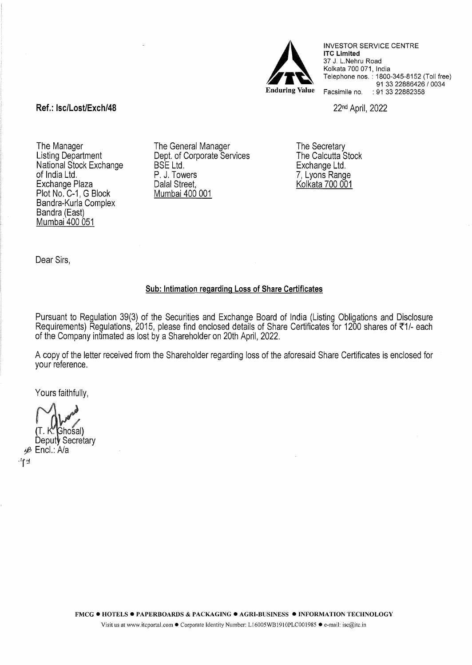

INVESTOR SERVICE CENTRE lTC Limited 37 J. L.Nehru Road Kolkata 700 071, India Telephone nos. : 1800-345-8152 (Toll free) 91 33 22886426 / 0034 Facsimile no. : 91 33 22882358

22nd April, 2022

Ref.: lsc/Lost/Exch/48

The Manager Listing Department National Stock Exchange of India Ltd. Exchange Plaza Plot No. C-1, G Block Bandra-Kurla Complex Bandra (East) Mumbai 400 051

The General Manager Dept. of Corporate Services BSE Ltd. P. J. Towers Dalal Street, Mumbai 400 001

The Secretary The Calcutta Stock Exchange Ltd. 7, Lyons Range Kolkata 700 001

Dear Sirs,

## Sub: Intimation regarding Loss of Share Certificates

Pursuant to Regulation 39(3) of the Securities and Exchange Board of India (Listing Obligations and Disclosure Requirements) Regulations, 2015, please find enclosed details of Share Certificates for 1200 shares of  $\overline{51/-}$  each of the Company intimated as lost by a Shareholder on 20th April, 2022.

A copy of the letter received from the Shareholder regarding loss of the aforesaid Share Certificates is enclosed for your reference.

Yours faithfully,

Ghośal)

Deputy Secretary ifi> Encl.: A/a  $+14$   $-14$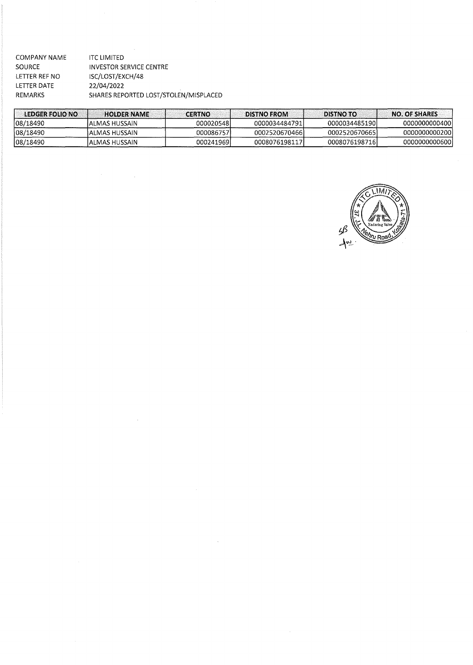| <b>COMPANY NAME</b> | ITC LIMITED                           |
|---------------------|---------------------------------------|
| SOURCE              | <b>INVESTOR SERVICE CENTRE</b>        |
| LETTER REF NO       | ISC/LOST/EXCH/48                      |
| LETTER DATE         | 22/04/2022                            |
| REMARKS             | SHARES REPORTED LOST/STOLEN/MISPLACED |

 $\label{eq:2.1} \frac{1}{\sqrt{2\pi}}\int_{\mathbb{R}^3}\frac{1}{\sqrt{2\pi}}\int_{\mathbb{R}^3}\frac{1}{\sqrt{2\pi}}\int_{\mathbb{R}^3}\frac{1}{\sqrt{2\pi}}\int_{\mathbb{R}^3}\frac{1}{\sqrt{2\pi}}\int_{\mathbb{R}^3}\frac{1}{\sqrt{2\pi}}\int_{\mathbb{R}^3}\frac{1}{\sqrt{2\pi}}\frac{1}{\sqrt{2\pi}}\int_{\mathbb{R}^3}\frac{1}{\sqrt{2\pi}}\frac{1}{\sqrt{2\pi}}\int_{\mathbb{R}^3}\frac{$ 

 $\label{eq:2.1} \frac{1}{\sqrt{2}}\int_{\mathbb{R}^3}\frac{1}{\sqrt{2}}\left(\frac{1}{\sqrt{2}}\right)^2\frac{1}{\sqrt{2}}\left(\frac{1}{\sqrt{2}}\right)^2\frac{1}{\sqrt{2}}\left(\frac{1}{\sqrt{2}}\right)^2\frac{1}{\sqrt{2}}\left(\frac{1}{\sqrt{2}}\right)^2.$ 

| LEDGER FOLIO NO | <b>HOLDER NAME</b> | <b>CERTNO</b> | <b>DISTNO FROM</b> | <b>DISTNO TO:</b> | <b>NO. OF SHARES</b> |
|-----------------|--------------------|---------------|--------------------|-------------------|----------------------|
| 08/18490        | ALMAS HUSSAIN      | 000020548     | 0000034484791      | 0000034485190     | 00000000004001       |
| 08/18490        | IALMAS HUSSAIN     | 0000867571    | 00025206704661     | 00025206706651    | 00000000002001       |
| 108/18490       | IALMAS HUSSAIN     | 000241969     | 0008076198117      | 00080761987161    | 00000000006001       |

 $\label{eq:2.1} \mathcal{L}(\mathcal{L}^{\text{max}}_{\mathcal{L}}(\mathcal{L}^{\text{max}}_{\mathcal{L}})) \leq \mathcal{L}(\mathcal{L}^{\text{max}}_{\mathcal{L}}(\mathcal{L}^{\text{max}}_{\mathcal{L}}))$